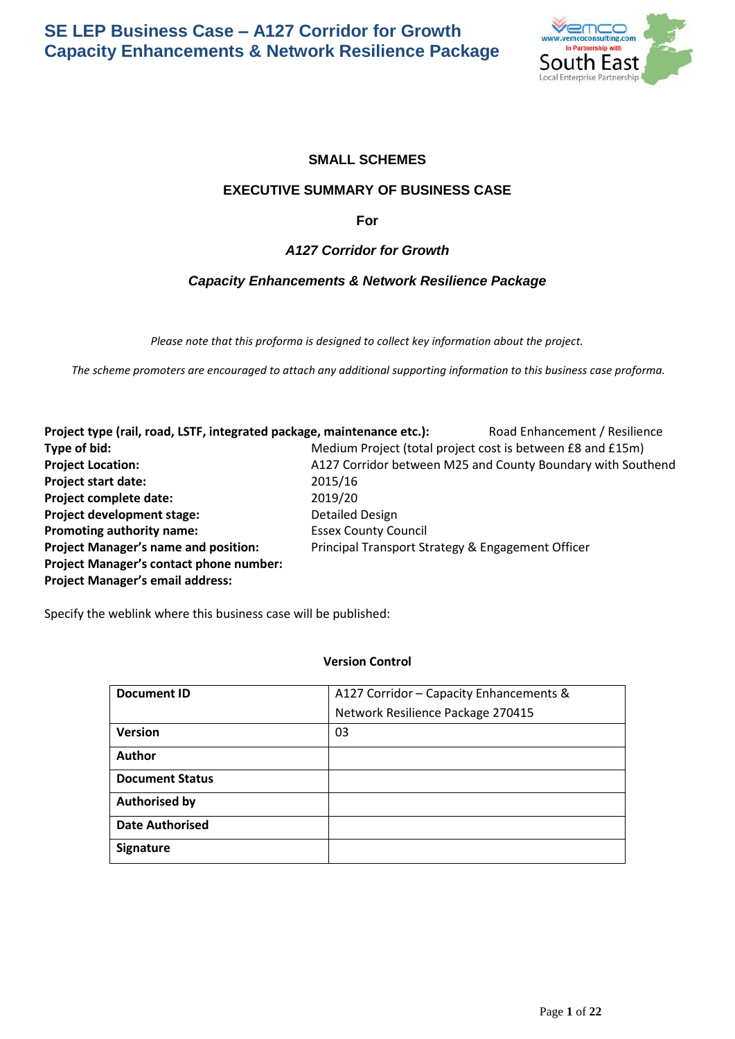

# **SMALL SCHEMES**

## **EXECUTIVE SUMMARY OF BUSINESS CASE**

**For** 

# *A127 Corridor for Growth*

# *Capacity Enhancements & Network Resilience Package*

*Please note that this proforma is designed to collect key information about the project.*

*The scheme promoters are encouraged to attach any additional supporting information to this business case proforma.*

**Project type (rail, road, LSTF, integrated package, maintenance etc.):** Road Enhancement / Resilience **Type of bid: Medium Project (total project cost is between £8 and £15m) Project Location: A127 Corridor between M25 and County Boundary with Southend Project start date:** 2015/16 **Project complete date:** 2019/20 **Project development stage:** Detailed Design **Promoting authority name:** Essex County Council **Project Manager's name and position:** Principal Transport Strategy & Engagement Officer **Project Manager's contact phone number: Project Manager's email address:**

Specify the weblink where this business case will be published:

## **Version Control**

| <b>Document ID</b>     | A127 Corridor - Capacity Enhancements & |  |  |  |
|------------------------|-----------------------------------------|--|--|--|
|                        | Network Resilience Package 270415       |  |  |  |
| <b>Version</b>         | 03                                      |  |  |  |
| <b>Author</b>          |                                         |  |  |  |
| <b>Document Status</b> |                                         |  |  |  |
| <b>Authorised by</b>   |                                         |  |  |  |
| <b>Date Authorised</b> |                                         |  |  |  |
| <b>Signature</b>       |                                         |  |  |  |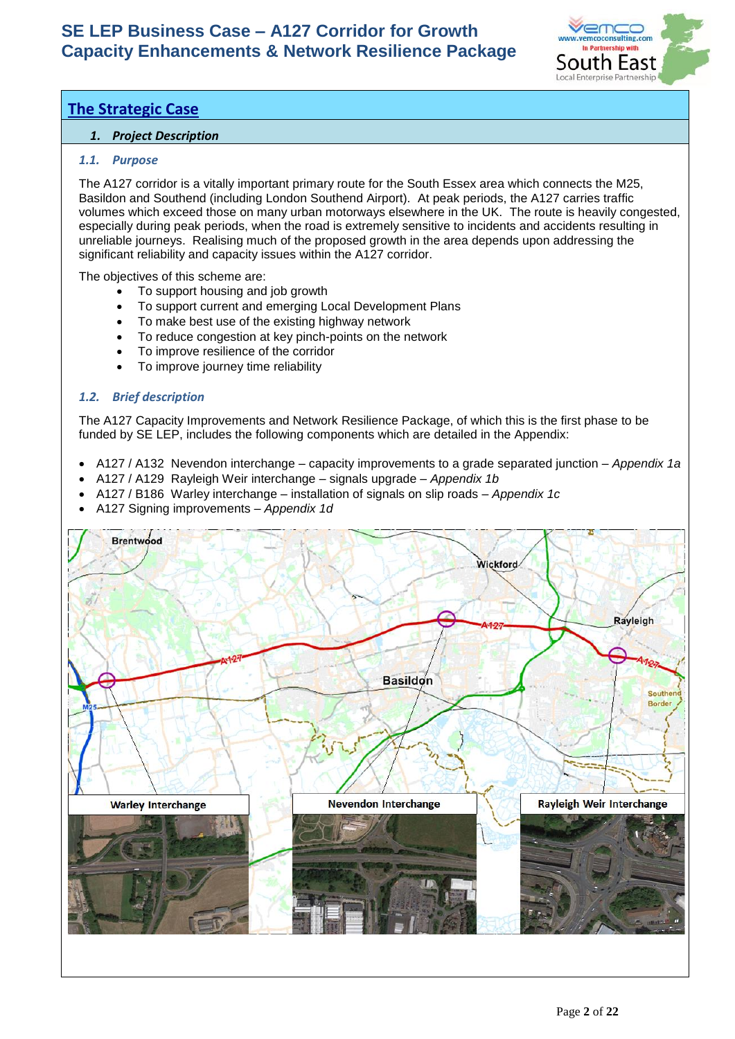

# **The Strategic Case**

# *1. Project Description*

# *1.1. Purpose*

The A127 corridor is a vitally important primary route for the South Essex area which connects the M25, Basildon and Southend (including London Southend Airport). At peak periods, the A127 carries traffic volumes which exceed those on many urban motorways elsewhere in the UK. The route is heavily congested, especially during peak periods, when the road is extremely sensitive to incidents and accidents resulting in unreliable journeys. Realising much of the proposed growth in the area depends upon addressing the significant reliability and capacity issues within the A127 corridor.

The objectives of this scheme are:

- To support housing and job growth
- To support current and emerging Local Development Plans
- To make best use of the existing highway network
- To reduce congestion at key pinch-points on the network
- To improve resilience of the corridor
- To improve journey time reliability

# *1.2. Brief description*

The A127 Capacity Improvements and Network Resilience Package, of which this is the first phase to be funded by SE LEP, includes the following components which are detailed in the Appendix:

- A127 / A132 Nevendon interchange capacity improvements to a grade separated junction *Appendix 1a*
- A127 / A129 Rayleigh Weir interchange signals upgrade *Appendix 1b*
- A127 / B186 Warley interchange installation of signals on slip roads *Appendix 1c*
- A127 Signing improvements *Appendix 1d*

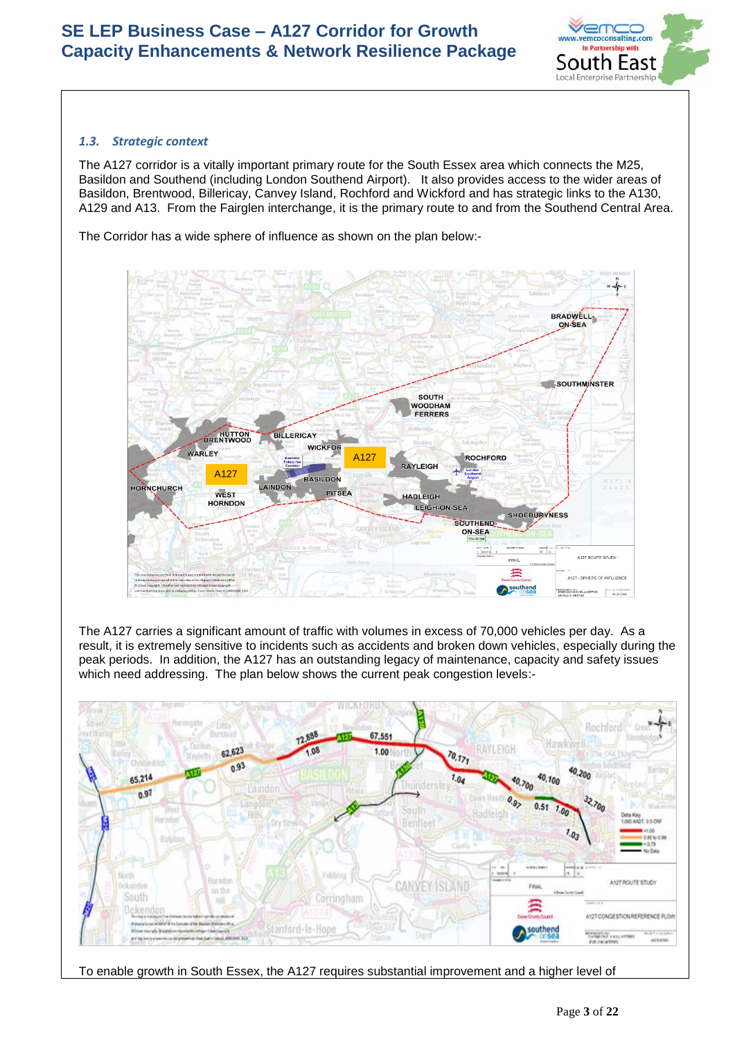

# *1.3. Strategic context*

The A127 corridor is a vitally important primary route for the South Essex area which connects the M25, Basildon and Southend (including London Southend Airport). It also provides access to the wider areas of Basildon, Brentwood, Billericay, Canvey Island, Rochford and Wickford and has strategic links to the A130, A129 and A13. From the Fairglen interchange, it is the primary route to and from the Southend Central Area.

The Corridor has a wide sphere of influence as shown on the plan below:-



The A127 carries a significant amount of traffic with volumes in excess of 70,000 vehicles per day. As a result, it is extremely sensitive to incidents such as accidents and broken down vehicles, especially during the peak periods. In addition, the A127 has an outstanding legacy of maintenance, capacity and safety issues which need addressing. The plan below shows the current peak congestion levels:-



To enable growth in South Essex, the A127 requires substantial improvement and a higher level of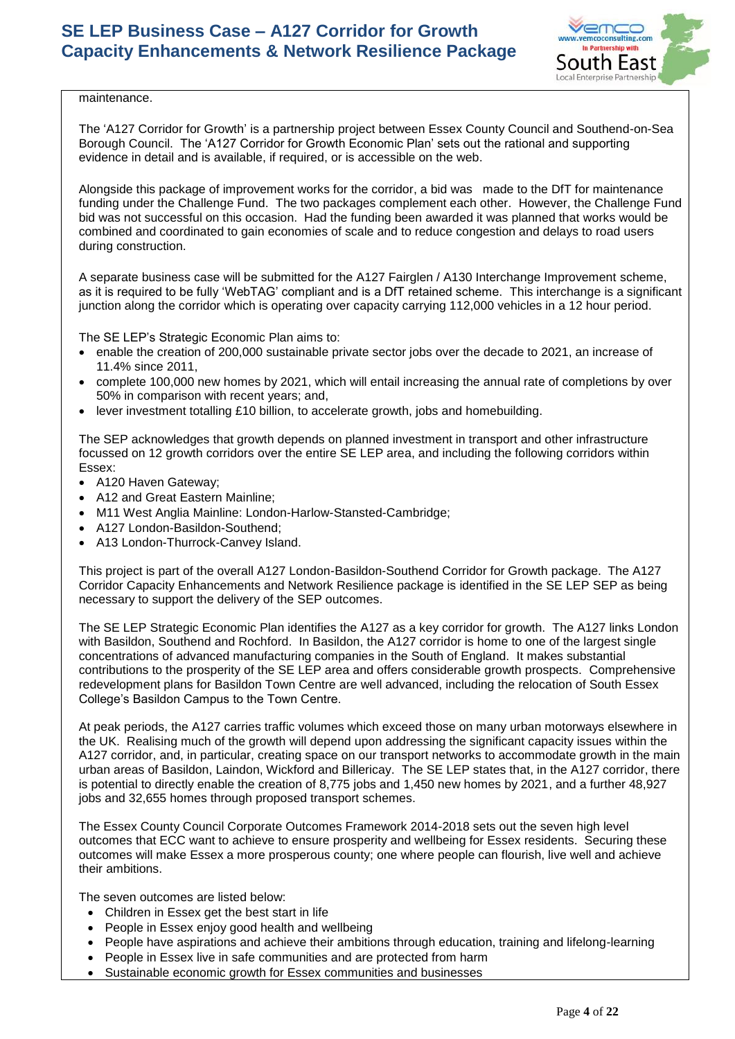

maintenance.

The 'A127 Corridor for Growth' is a partnership project between Essex County Council and Southend-on-Sea Borough Council. The 'A127 Corridor for Growth Economic Plan' sets out the rational and supporting evidence in detail and is available, if required, or is accessible on the web.

Alongside this package of improvement works for the corridor, a bid was made to the DfT for maintenance funding under the Challenge Fund. The two packages complement each other. However, the Challenge Fund bid was not successful on this occasion. Had the funding been awarded it was planned that works would be combined and coordinated to gain economies of scale and to reduce congestion and delays to road users during construction.

A separate business case will be submitted for the A127 Fairglen / A130 Interchange Improvement scheme, as it is required to be fully 'WebTAG' compliant and is a DfT retained scheme. This interchange is a significant junction along the corridor which is operating over capacity carrying 112,000 vehicles in a 12 hour period.

The SE LEP's Strategic Economic Plan aims to:

- enable the creation of 200,000 sustainable private sector jobs over the decade to 2021, an increase of 11.4% since 2011,
- complete 100,000 new homes by 2021, which will entail increasing the annual rate of completions by over 50% in comparison with recent years; and,
- lever investment totalling £10 billion, to accelerate growth, jobs and homebuilding.

The SEP acknowledges that growth depends on planned investment in transport and other infrastructure focussed on 12 growth corridors over the entire SE LEP area, and including the following corridors within Essex:

- A120 Haven Gateway;
- A12 and Great Eastern Mainline;
- M11 West Anglia Mainline: London-Harlow-Stansted-Cambridge;
- A127 London-Basildon-Southend;
- A13 London-Thurrock-Canvey Island.

This project is part of the overall A127 London-Basildon-Southend Corridor for Growth package. The A127 Corridor Capacity Enhancements and Network Resilience package is identified in the SE LEP SEP as being necessary to support the delivery of the SEP outcomes.

The SE LEP Strategic Economic Plan identifies the A127 as a key corridor for growth. The A127 links London with Basildon, Southend and Rochford. In Basildon, the A127 corridor is home to one of the largest single concentrations of advanced manufacturing companies in the South of England. It makes substantial contributions to the prosperity of the SE LEP area and offers considerable growth prospects. Comprehensive redevelopment plans for Basildon Town Centre are well advanced, including the relocation of South Essex College's Basildon Campus to the Town Centre.

At peak periods, the A127 carries traffic volumes which exceed those on many urban motorways elsewhere in the UK. Realising much of the growth will depend upon addressing the significant capacity issues within the A127 corridor, and, in particular, creating space on our transport networks to accommodate growth in the main urban areas of Basildon, Laindon, Wickford and Billericay. The SE LEP states that, in the A127 corridor, there is potential to directly enable the creation of 8,775 jobs and 1,450 new homes by 2021, and a further 48,927 jobs and 32,655 homes through proposed transport schemes.

The Essex County Council Corporate Outcomes Framework 2014-2018 sets out the seven high level outcomes that ECC want to achieve to ensure prosperity and wellbeing for Essex residents. Securing these outcomes will make Essex a more prosperous county; one where people can flourish, live well and achieve their ambitions.

The seven outcomes are listed below:

- Children in Essex get the best start in life
- People in Essex enjoy good health and wellbeing
- People have aspirations and achieve their ambitions through education, training and lifelong-learning
- People in Essex live in safe communities and are protected from harm
- Sustainable economic growth for Essex communities and businesses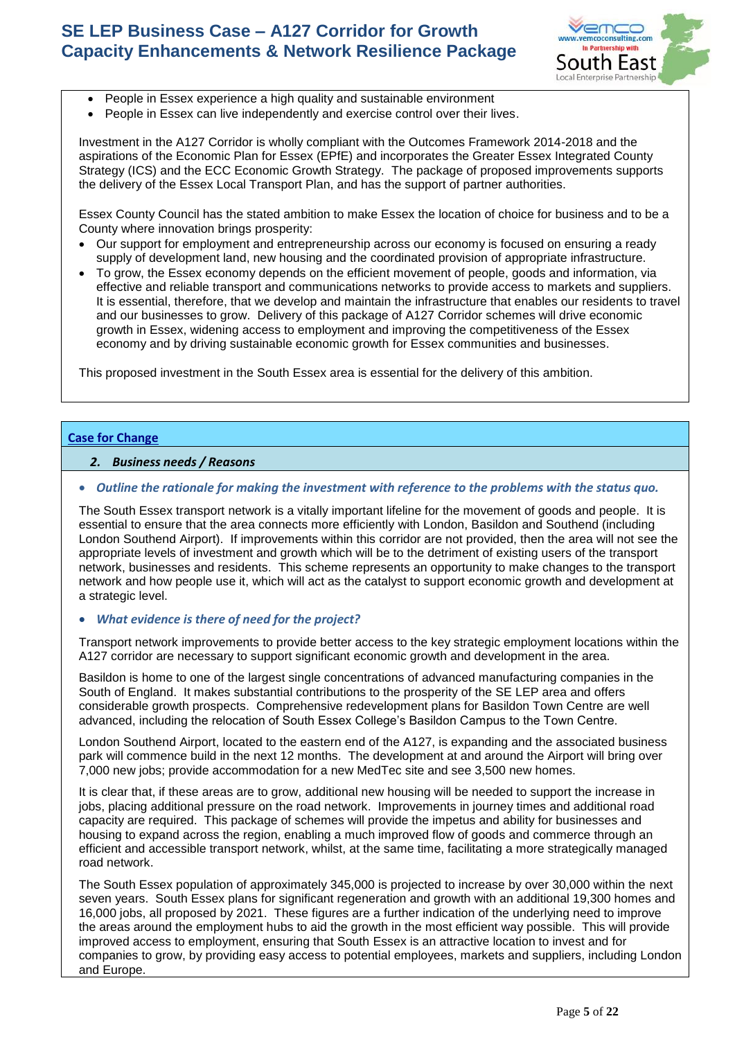

- People in Essex experience a high quality and sustainable environment
- People in Essex can live independently and exercise control over their lives.

Investment in the A127 Corridor is wholly compliant with the Outcomes Framework 2014-2018 and the aspirations of the Economic Plan for Essex (EPfE) and incorporates the Greater Essex Integrated County Strategy (ICS) and the ECC Economic Growth Strategy. The package of proposed improvements supports the delivery of the Essex Local Transport Plan, and has the support of partner authorities.

Essex County Council has the stated ambition to make Essex the location of choice for business and to be a County where innovation brings prosperity:

- Our support for employment and entrepreneurship across our economy is focused on ensuring a ready supply of development land, new housing and the coordinated provision of appropriate infrastructure.
- To grow, the Essex economy depends on the efficient movement of people, goods and information, via effective and reliable transport and communications networks to provide access to markets and suppliers. It is essential, therefore, that we develop and maintain the infrastructure that enables our residents to travel and our businesses to grow. Delivery of this package of A127 Corridor schemes will drive economic growth in Essex, widening access to employment and improving the competitiveness of the Essex economy and by driving sustainable economic growth for Essex communities and businesses.

This proposed investment in the South Essex area is essential for the delivery of this ambition.

## **Case for Change**

#### *2. Business needs / Reasons*

#### • *Outline the rationale for making the investment with reference to the problems with the status quo.*

The South Essex transport network is a vitally important lifeline for the movement of goods and people. It is essential to ensure that the area connects more efficiently with London, Basildon and Southend (including London Southend Airport). If improvements within this corridor are not provided, then the area will not see the appropriate levels of investment and growth which will be to the detriment of existing users of the transport network, businesses and residents. This scheme represents an opportunity to make changes to the transport network and how people use it, which will act as the catalyst to support economic growth and development at a strategic level.

#### • *What evidence is there of need for the project?*

Transport network improvements to provide better access to the key strategic employment locations within the A127 corridor are necessary to support significant economic growth and development in the area.

Basildon is home to one of the largest single concentrations of advanced manufacturing companies in the South of England. It makes substantial contributions to the prosperity of the SE LEP area and offers considerable growth prospects. Comprehensive redevelopment plans for Basildon Town Centre are well advanced, including the relocation of South Essex College's Basildon Campus to the Town Centre.

London Southend Airport, located to the eastern end of the A127, is expanding and the associated business park will commence build in the next 12 months. The development at and around the Airport will bring over 7,000 new jobs; provide accommodation for a new MedTec site and see 3,500 new homes.

It is clear that, if these areas are to grow, additional new housing will be needed to support the increase in jobs, placing additional pressure on the road network. Improvements in journey times and additional road capacity are required. This package of schemes will provide the impetus and ability for businesses and housing to expand across the region, enabling a much improved flow of goods and commerce through an efficient and accessible transport network, whilst, at the same time, facilitating a more strategically managed road network.

The South Essex population of approximately 345,000 is projected to increase by over 30,000 within the next seven years. South Essex plans for significant regeneration and growth with an additional 19,300 homes and 16,000 jobs, all proposed by 2021. These figures are a further indication of the underlying need to improve the areas around the employment hubs to aid the growth in the most efficient way possible. This will provide improved access to employment, ensuring that South Essex is an attractive location to invest and for companies to grow, by providing easy access to potential employees, markets and suppliers, including London and Europe.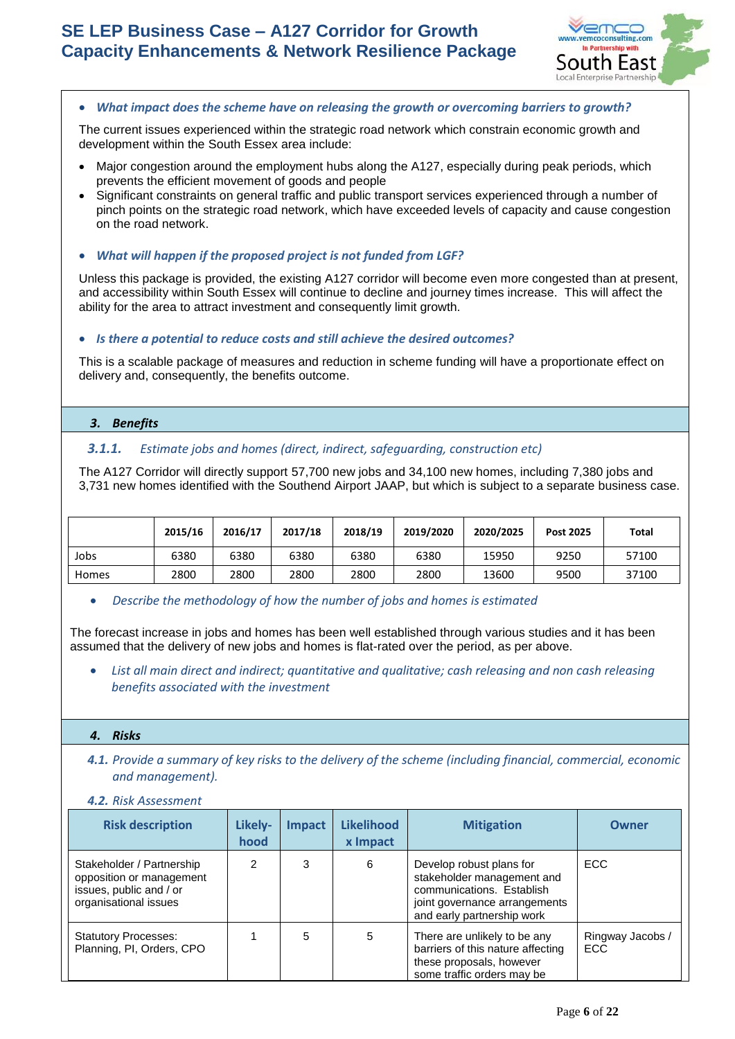

## • *What impact does the scheme have on releasing the growth or overcoming barriers to growth?*

The current issues experienced within the strategic road network which constrain economic growth and development within the South Essex area include:

- Major congestion around the employment hubs along the A127, especially during peak periods, which prevents the efficient movement of goods and people
- Significant constraints on general traffic and public transport services experienced through a number of pinch points on the strategic road network, which have exceeded levels of capacity and cause congestion on the road network.
- *What will happen if the proposed project is not funded from LGF?*

Unless this package is provided, the existing A127 corridor will become even more congested than at present, and accessibility within South Essex will continue to decline and journey times increase. This will affect the ability for the area to attract investment and consequently limit growth.

# • *Is there a potential to reduce costs and still achieve the desired outcomes?*

This is a scalable package of measures and reduction in scheme funding will have a proportionate effect on delivery and, consequently, the benefits outcome.

# *3. Benefits*

# *3.1.1. Estimate jobs and homes (direct, indirect, safeguarding, construction etc)*

The A127 Corridor will directly support 57,700 new jobs and 34,100 new homes, including 7,380 jobs and 3,731 new homes identified with the Southend Airport JAAP, but which is subject to a separate business case.

|       | 2015/16 | 2016/17 | 2017/18 | 2018/19 | 2019/2020 | 2020/2025 | Post 2025 | Total |
|-------|---------|---------|---------|---------|-----------|-----------|-----------|-------|
| Jobs  | 6380    | 6380    | 6380    | 6380    | 6380      | 15950     | 9250      | 57100 |
| Homes | 2800    | 2800    | 2800    | 2800    | 2800      | 13600     | 9500      | 37100 |

## • *Describe the methodology of how the number of jobs and homes is estimated*

The forecast increase in jobs and homes has been well established through various studies and it has been assumed that the delivery of new jobs and homes is flat-rated over the period, as per above.

• *List all main direct and indirect; quantitative and qualitative; cash releasing and non cash releasing benefits associated with the investment* 

## *4. Risks*

- *4.1. Provide a summary of key risks to the delivery of the scheme (including financial, commercial, economic and management).*
- *4.2. Risk Assessment*

| <b>Risk description</b>                                                                                   | Likely-<br>hood | <b>Impact</b> | <b>Likelihood</b><br>x Impact | <b>Mitigation</b>                                                                                                                                  | <b>Owner</b>                   |
|-----------------------------------------------------------------------------------------------------------|-----------------|---------------|-------------------------------|----------------------------------------------------------------------------------------------------------------------------------------------------|--------------------------------|
| Stakeholder / Partnership<br>opposition or management<br>issues, public and / or<br>organisational issues | 2               | 3             | 6                             | Develop robust plans for<br>stakeholder management and<br>communications. Establish<br>joint governance arrangements<br>and early partnership work | <b>ECC</b>                     |
| <b>Statutory Processes:</b><br>Planning, PI, Orders, CPO                                                  |                 | 5             | 5                             | There are unlikely to be any<br>barriers of this nature affecting<br>these proposals, however<br>some traffic orders may be                        | Ringway Jacobs /<br><b>ECC</b> |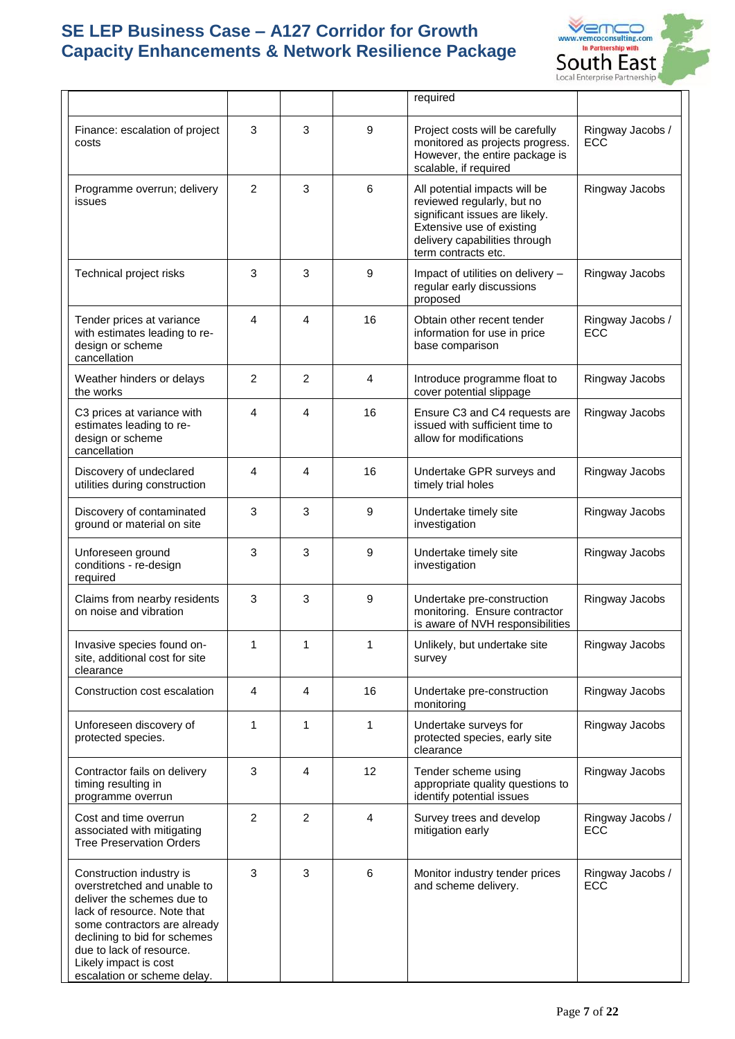

|                                                                                                                                                                                                                                                                          |   |                |    | required                                                                                                                                                                           |                                |
|--------------------------------------------------------------------------------------------------------------------------------------------------------------------------------------------------------------------------------------------------------------------------|---|----------------|----|------------------------------------------------------------------------------------------------------------------------------------------------------------------------------------|--------------------------------|
| Finance: escalation of project<br>costs                                                                                                                                                                                                                                  | 3 | 3              | 9  | Project costs will be carefully<br>monitored as projects progress.<br>However, the entire package is<br>scalable, if required                                                      | Ringway Jacobs /<br>ECC        |
| Programme overrun; delivery<br>issues                                                                                                                                                                                                                                    | 2 | 3              | 6  | All potential impacts will be<br>reviewed regularly, but no<br>significant issues are likely.<br>Extensive use of existing<br>delivery capabilities through<br>term contracts etc. | Ringway Jacobs                 |
| Technical project risks                                                                                                                                                                                                                                                  | 3 | 3              | 9  | Impact of utilities on delivery -<br>regular early discussions<br>proposed                                                                                                         | Ringway Jacobs                 |
| Tender prices at variance<br>with estimates leading to re-<br>design or scheme<br>cancellation                                                                                                                                                                           | 4 | 4              | 16 | Obtain other recent tender<br>information for use in price<br>base comparison                                                                                                      | Ringway Jacobs /<br><b>ECC</b> |
| Weather hinders or delays<br>the works                                                                                                                                                                                                                                   | 2 | 2              | 4  | Introduce programme float to<br>cover potential slippage                                                                                                                           | Ringway Jacobs                 |
| C3 prices at variance with<br>estimates leading to re-<br>design or scheme<br>cancellation                                                                                                                                                                               | 4 | 4              | 16 | Ensure C3 and C4 requests are<br>issued with sufficient time to<br>allow for modifications                                                                                         | Ringway Jacobs                 |
| Discovery of undeclared<br>utilities during construction                                                                                                                                                                                                                 | 4 | 4              | 16 | Undertake GPR surveys and<br>timely trial holes                                                                                                                                    | Ringway Jacobs                 |
| Discovery of contaminated<br>ground or material on site                                                                                                                                                                                                                  | 3 | 3              | 9  | Undertake timely site<br>investigation                                                                                                                                             | Ringway Jacobs                 |
| Unforeseen ground<br>conditions - re-design<br>required                                                                                                                                                                                                                  | 3 | 3              | 9  | Undertake timely site<br>investigation                                                                                                                                             | Ringway Jacobs                 |
| Claims from nearby residents<br>on noise and vibration                                                                                                                                                                                                                   | 3 | 3              | 9  | Undertake pre-construction<br>monitoring. Ensure contractor<br>is aware of NVH responsibilities                                                                                    | Ringway Jacobs                 |
| Invasive species found on-<br>site, additional cost for site<br>clearance                                                                                                                                                                                                | 1 | 1              | 1  | Unlikely, but undertake site<br>survey                                                                                                                                             | Ringway Jacobs                 |
| Construction cost escalation                                                                                                                                                                                                                                             | 4 | 4              | 16 | Undertake pre-construction<br>monitoring                                                                                                                                           | Ringway Jacobs                 |
| Unforeseen discovery of<br>protected species.                                                                                                                                                                                                                            | 1 | 1              | 1  | Undertake surveys for<br>protected species, early site<br>clearance                                                                                                                | Ringway Jacobs                 |
| Contractor fails on delivery<br>timing resulting in<br>programme overrun                                                                                                                                                                                                 | 3 | 4              | 12 | Tender scheme using<br>appropriate quality questions to<br>identify potential issues                                                                                               | Ringway Jacobs                 |
| Cost and time overrun<br>associated with mitigating<br><b>Tree Preservation Orders</b>                                                                                                                                                                                   | 2 | $\overline{c}$ | 4  | Survey trees and develop<br>mitigation early                                                                                                                                       | Ringway Jacobs /<br>ECC        |
| Construction industry is<br>overstretched and unable to<br>deliver the schemes due to<br>lack of resource. Note that<br>some contractors are already<br>declining to bid for schemes<br>due to lack of resource.<br>Likely impact is cost<br>escalation or scheme delay. | 3 | 3              | 6  | Monitor industry tender prices<br>and scheme delivery.                                                                                                                             | Ringway Jacobs /<br>ECC        |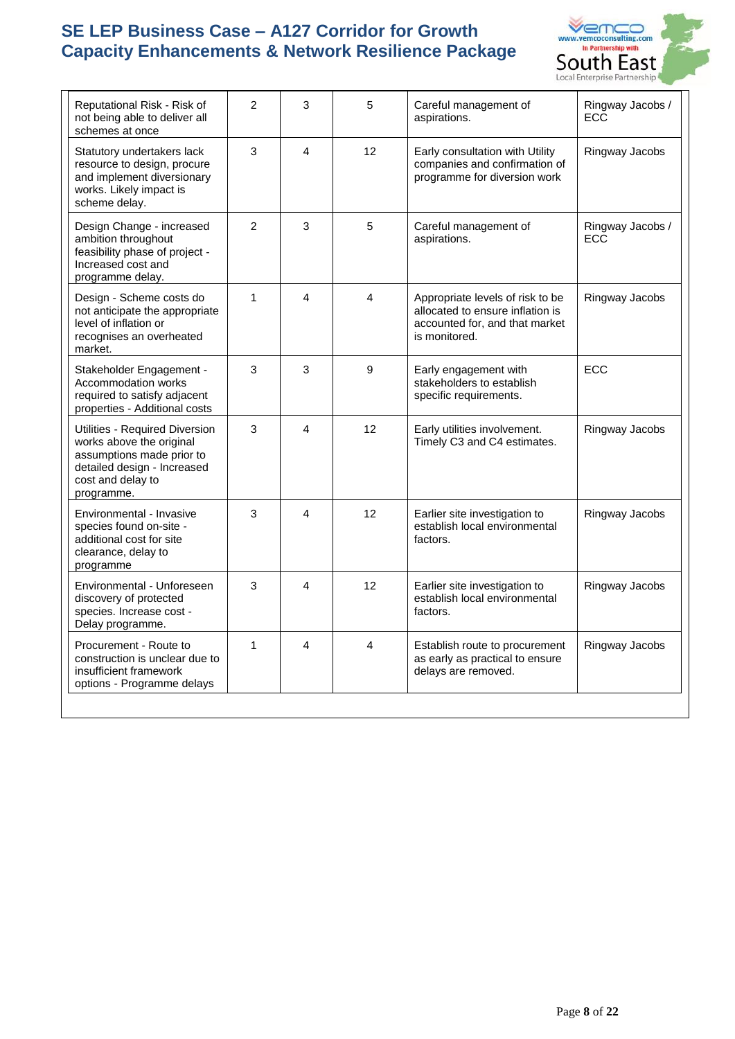

| Reputational Risk - Risk of<br>not being able to deliver all<br>schemes at once                                                                           | $\overline{2}$ | 3                       | 5              | Careful management of<br>aspirations.                                                                                   | Ringway Jacobs /<br><b>ECC</b> |
|-----------------------------------------------------------------------------------------------------------------------------------------------------------|----------------|-------------------------|----------------|-------------------------------------------------------------------------------------------------------------------------|--------------------------------|
| Statutory undertakers lack<br>resource to design, procure<br>and implement diversionary<br>works. Likely impact is<br>scheme delay.                       | 3              | $\overline{\mathbf{A}}$ | 12             | Early consultation with Utility<br>companies and confirmation of<br>programme for diversion work                        | Ringway Jacobs                 |
| Design Change - increased<br>ambition throughout<br>feasibility phase of project -<br>Increased cost and<br>programme delay.                              | 2              | 3                       | 5              | Careful management of<br>aspirations.                                                                                   | Ringway Jacobs /<br><b>ECC</b> |
| Design - Scheme costs do<br>not anticipate the appropriate<br>level of inflation or<br>recognises an overheated<br>market.                                | $\mathbf{1}$   | 4                       | 4              | Appropriate levels of risk to be<br>allocated to ensure inflation is<br>accounted for, and that market<br>is monitored. | Ringway Jacobs                 |
| Stakeholder Engagement -<br>Accommodation works<br>required to satisfy adjacent<br>properties - Additional costs                                          | 3              | 3                       | 9              | Early engagement with<br>stakeholders to establish<br>specific requirements.                                            | <b>ECC</b>                     |
| Utilities - Required Diversion<br>works above the original<br>assumptions made prior to<br>detailed design - Increased<br>cost and delay to<br>programme. | 3              | 4                       | 12             | Early utilities involvement.<br>Timely C3 and C4 estimates.                                                             | Ringway Jacobs                 |
| Environmental - Invasive<br>species found on-site -<br>additional cost for site<br>clearance, delay to<br>programme                                       | 3              | 4                       | 12             | Earlier site investigation to<br>establish local environmental<br>factors.                                              | Ringway Jacobs                 |
| Environmental - Unforeseen<br>discovery of protected<br>species. Increase cost -<br>Delay programme.                                                      | 3              | $\overline{\mathbf{A}}$ | 12             | Earlier site investigation to<br>establish local environmental<br>factors.                                              | Ringway Jacobs                 |
| Procurement - Route to<br>construction is unclear due to<br>insufficient framework<br>options - Programme delays                                          | 1              | $\overline{A}$          | $\overline{4}$ | Establish route to procurement<br>as early as practical to ensure<br>delays are removed.                                | Ringway Jacobs                 |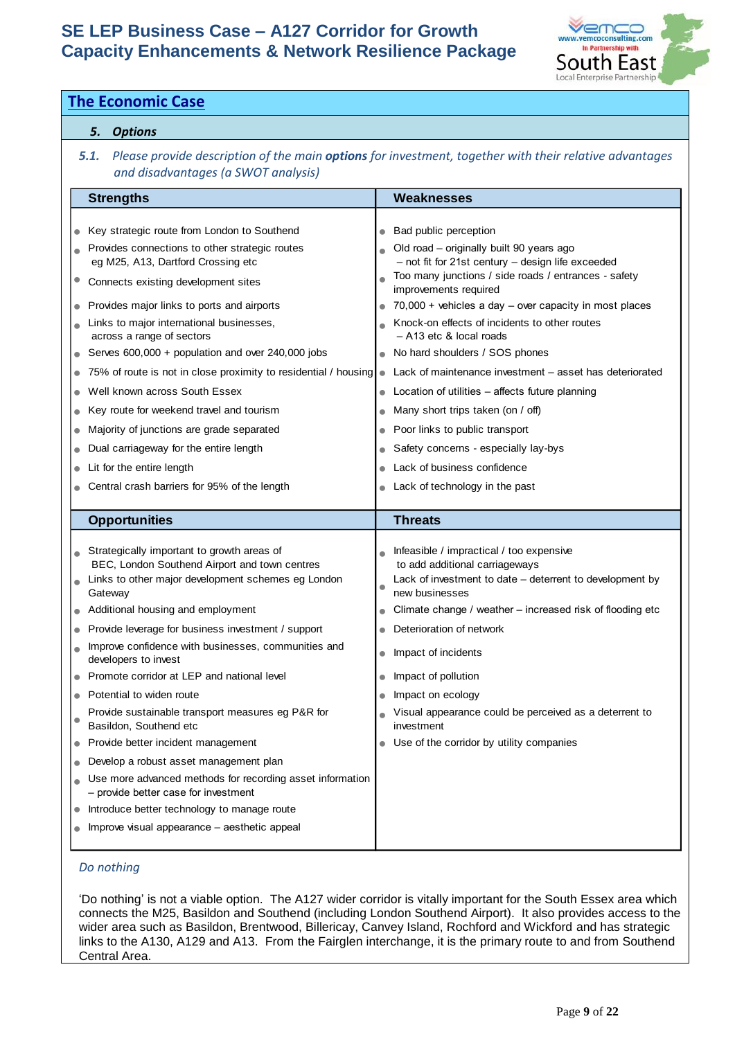

|                        |                                                                                                                                                       | <b>The Economic Case</b>                                                                                                                                                                                                                                                                                                                                                                                                                                                                                                                                                                                                                                                                                                                                                            |                                                               |                                                                                                                                                                                                                                                                                                                                                                                                                                                                                                                                                                                                                                                                               |  |  |  |  |
|------------------------|-------------------------------------------------------------------------------------------------------------------------------------------------------|-------------------------------------------------------------------------------------------------------------------------------------------------------------------------------------------------------------------------------------------------------------------------------------------------------------------------------------------------------------------------------------------------------------------------------------------------------------------------------------------------------------------------------------------------------------------------------------------------------------------------------------------------------------------------------------------------------------------------------------------------------------------------------------|---------------------------------------------------------------|-------------------------------------------------------------------------------------------------------------------------------------------------------------------------------------------------------------------------------------------------------------------------------------------------------------------------------------------------------------------------------------------------------------------------------------------------------------------------------------------------------------------------------------------------------------------------------------------------------------------------------------------------------------------------------|--|--|--|--|
|                        |                                                                                                                                                       | 5. Options                                                                                                                                                                                                                                                                                                                                                                                                                                                                                                                                                                                                                                                                                                                                                                          |                                                               |                                                                                                                                                                                                                                                                                                                                                                                                                                                                                                                                                                                                                                                                               |  |  |  |  |
|                        | Please provide description of the main options for investment, together with their relative advantages<br>5.1.<br>and disadvantages (a SWOT analysis) |                                                                                                                                                                                                                                                                                                                                                                                                                                                                                                                                                                                                                                                                                                                                                                                     |                                                               |                                                                                                                                                                                                                                                                                                                                                                                                                                                                                                                                                                                                                                                                               |  |  |  |  |
|                        |                                                                                                                                                       | <b>Strengths</b>                                                                                                                                                                                                                                                                                                                                                                                                                                                                                                                                                                                                                                                                                                                                                                    |                                                               | <b>Weaknesses</b>                                                                                                                                                                                                                                                                                                                                                                                                                                                                                                                                                                                                                                                             |  |  |  |  |
| $\bullet$<br>$\bullet$ |                                                                                                                                                       | Key strategic route from London to Southend<br>Provides connections to other strategic routes<br>eg M25, A13, Dartford Crossing etc<br>Connects existing development sites<br>Provides major links to ports and airports<br>Links to major international businesses,<br>across a range of sectors<br>Serves 600,000 + population and over 240,000 jobs<br>75% of route is not in close proximity to residential / housing<br>Well known across South Essex<br>Key route for weekend travel and tourism<br>Majority of junctions are grade separated<br>Dual carriageway for the entire length<br>Lit for the entire length<br>Central crash barriers for 95% of the length                                                                                                          | $\bullet$<br>$\bullet$<br>$\bullet$                           | Bad public perception<br>Old road - originally built 90 years ago<br>- not fit for 21st century - design life exceeded<br>Too many junctions / side roads / entrances - safety<br>improvements required<br>70,000 + vehicles a day - over capacity in most places<br>Knock-on effects of incidents to other routes<br>- A13 etc & local roads<br>No hard shoulders / SOS phones<br>Lack of maintenance investment – asset has deteriorated<br>Location of utilities - affects future planning<br>Many short trips taken (on / off)<br>Poor links to public transport<br>Safety concerns - especially lay-bys<br>Lack of business confidence<br>Lack of technology in the past |  |  |  |  |
|                        |                                                                                                                                                       | <b>Opportunities</b>                                                                                                                                                                                                                                                                                                                                                                                                                                                                                                                                                                                                                                                                                                                                                                |                                                               | <b>Threats</b>                                                                                                                                                                                                                                                                                                                                                                                                                                                                                                                                                                                                                                                                |  |  |  |  |
| $\bullet$<br>$\bullet$ |                                                                                                                                                       | Strategically important to growth areas of<br>BEC, London Southend Airport and town centres<br>Links to other major development schemes eg London<br>Gateway<br>Additional housing and employment<br>Provide leverage for business investment / support<br>Improve confidence with businesses, communities and<br>developers to invest<br>Promote corridor at LEP and national level<br>Potential to widen route<br>Provide sustainable transport measures eg P&R for<br>Basildon, Southend etc<br>Provide better incident management<br>Develop a robust asset management plan<br>Use more advanced methods for recording asset information<br>- provide better case for investment<br>Introduce better technology to manage route<br>Improve visual appearance – aesthetic appeal | $\bullet$<br>$\bullet$<br>$\bullet$<br>$\bullet$<br>$\bullet$ | Infeasible / impractical / too expensive<br>to add additional carriageways<br>Lack of investment to date - deterrent to development by<br>new businesses<br>Climate change / weather - increased risk of flooding etc<br>Deterioration of network<br>Impact of incidents<br>Impact of pollution<br>Impact on ecology<br>Visual appearance could be perceived as a deterrent to<br>investment<br>Use of the corridor by utility companies                                                                                                                                                                                                                                      |  |  |  |  |
|                        |                                                                                                                                                       | Do nothing<br>Central Area.                                                                                                                                                                                                                                                                                                                                                                                                                                                                                                                                                                                                                                                                                                                                                         |                                                               | 'Do nothing' is not a viable option. The A127 wider corridor is vitally important for the South Essex area which<br>connects the M25, Basildon and Southend (including London Southend Airport). It also provides access to the<br>wider area such as Basildon, Brentwood, Billericay, Canvey Island, Rochford and Wickford and has strategic<br>links to the A130, A129 and A13. From the Fairglen interchange, it is the primary route to and from Southend                                                                                                                                                                                                                 |  |  |  |  |

# *Do nothing*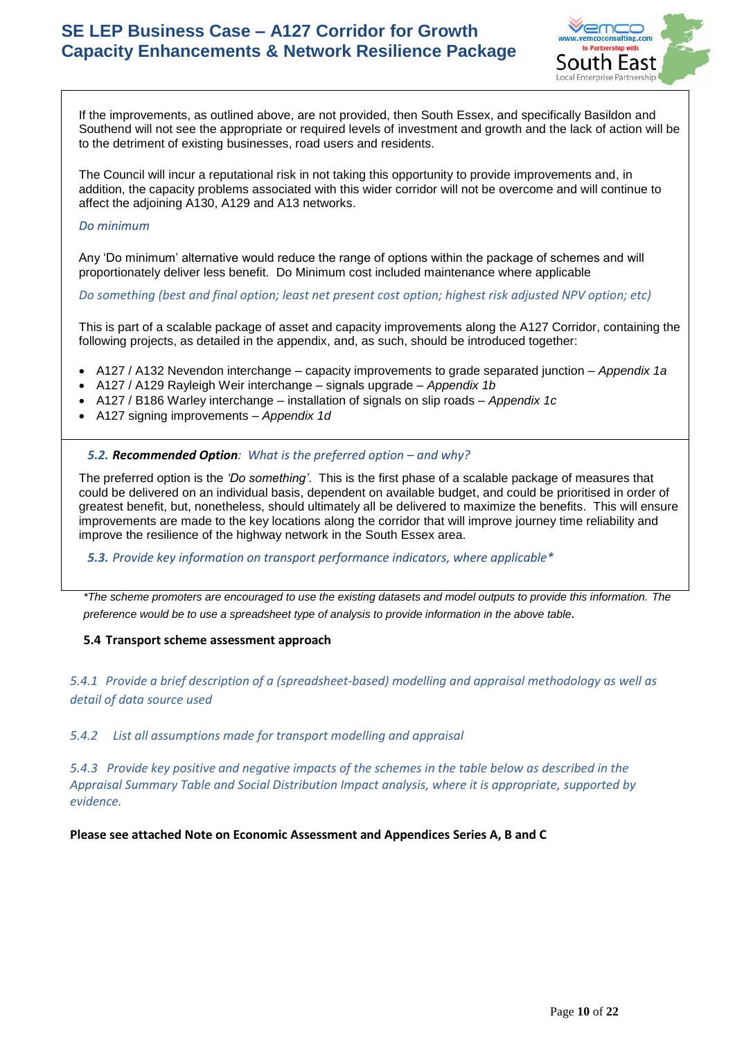

If the improvements, as outlined above, are not provided, then South Essex, and specifically Basildon and Southend will not see the appropriate or required levels of investment and growth and the lack of action will be to the detriment of existing businesses, road users and residents.

The Council will incur a reputational risk in not taking this opportunity to provide improvements and, in addition, the capacity problems associated with this wider corridor will not be overcome and will continue to affect the adjoining A130, A129 and A13 networks.

#### *Do minimum*

Any 'Do minimum' alternative would reduce the range of options within the package of schemes and will proportionately deliver less benefit. Do Minimum cost included maintenance where applicable

*Do something (best and final option; least net present cost option; highest risk adjusted NPV option; etc)*

This is part of a scalable package of asset and capacity improvements along the A127 Corridor, containing the following projects, as detailed in the appendix, and, as such, should be introduced together:

- A127 / A132 Nevendon interchange capacity improvements to grade separated junction *Appendix 1a*
- A127 / A129 Rayleigh Weir interchange signals upgrade *Appendix 1b*
- A127 / B186 Warley interchange installation of signals on slip roads *Appendix 1c*
- A127 signing improvements *Appendix 1d*

#### **5.2. Recommended Option**: What is the preferred option – and why?

The preferred option is the *'Do something'*. This is the first phase of a scalable package of measures that could be delivered on an individual basis, dependent on available budget, and could be prioritised in order of greatest benefit, but, nonetheless, should ultimately all be delivered to maximize the benefits. This will ensure improvements are made to the key locations along the corridor that will improve journey time reliability and improve the resilience of the highway network in the South Essex area.

*5.3. Provide key information on transport performance indicators, where applicable\**

*\*The scheme promoters are encouraged to use the existing datasets and model outputs to provide this information. The preference would be to use a spreadsheet type of analysis to provide information in the above table.* 

## **5.4 Transport scheme assessment approach**

*5.4.1 Provide a brief description of a (spreadsheet-based) modelling and appraisal methodology as well as detail of data source used*

*5.4.2 List all assumptions made for transport modelling and appraisal*

*5.4.3 Provide key positive and negative impacts of the schemes in the table below as described in the Appraisal Summary Table and Social Distribution Impact analysis, where it is appropriate, supported by evidence.* 

**Please see attached Note on Economic Assessment and Appendices Series A, B and C**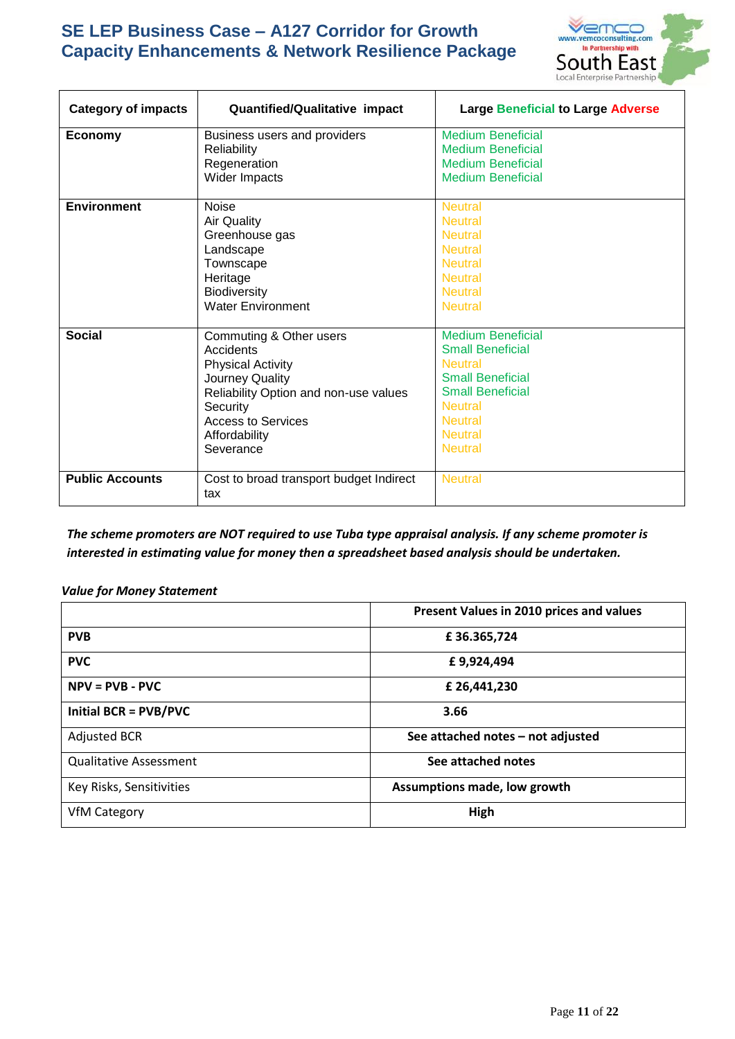

| <b>Category of impacts</b> | <b>Quantified/Qualitative impact</b>                                                                                                                                                         | <b>Large Beneficial to Large Adverse</b>                                                                                                                                                            |
|----------------------------|----------------------------------------------------------------------------------------------------------------------------------------------------------------------------------------------|-----------------------------------------------------------------------------------------------------------------------------------------------------------------------------------------------------|
| <b>Economy</b>             | Business users and providers<br>Reliability<br>Regeneration<br>Wider Impacts                                                                                                                 | <b>Medium Beneficial</b><br><b>Medium Beneficial</b><br><b>Medium Beneficial</b><br><b>Medium Beneficial</b>                                                                                        |
| <b>Environment</b>         | <b>Noise</b><br><b>Air Quality</b><br>Greenhouse gas<br>Landscape<br>Townscape<br>Heritage<br><b>Biodiversity</b><br><b>Water Environment</b>                                                | <b>Neutral</b><br><b>Neutral</b><br><b>Neutral</b><br><b>Neutral</b><br><b>Neutral</b><br><b>Neutral</b><br><b>Neutral</b><br><b>Neutral</b>                                                        |
| <b>Social</b>              | Commuting & Other users<br>Accidents<br><b>Physical Activity</b><br>Journey Quality<br>Reliability Option and non-use values<br>Security<br>Access to Services<br>Affordability<br>Severance | <b>Medium Beneficial</b><br><b>Small Beneficial</b><br><b>Neutral</b><br><b>Small Beneficial</b><br><b>Small Beneficial</b><br><b>Neutral</b><br><b>Neutral</b><br><b>Neutral</b><br><b>Neutral</b> |
| <b>Public Accounts</b>     | Cost to broad transport budget Indirect<br>tax                                                                                                                                               | <b>Neutral</b>                                                                                                                                                                                      |

*The scheme promoters are NOT required to use Tuba type appraisal analysis. If any scheme promoter is interested in estimating value for money then a spreadsheet based analysis should be undertaken.*

## *Value for Money Statement*

|                               | Present Values in 2010 prices and values |
|-------------------------------|------------------------------------------|
| <b>PVB</b>                    | £36.365,724                              |
| <b>PVC</b>                    | £9,924,494                               |
| $NPV = PVB - PVC$             | £ 26,441,230                             |
| <b>Initial BCR = PVB/PVC</b>  | 3.66                                     |
| <b>Adjusted BCR</b>           | See attached notes - not adjusted        |
| <b>Qualitative Assessment</b> | See attached notes                       |
| Key Risks, Sensitivities      | Assumptions made, low growth             |
| <b>VfM Category</b>           | High                                     |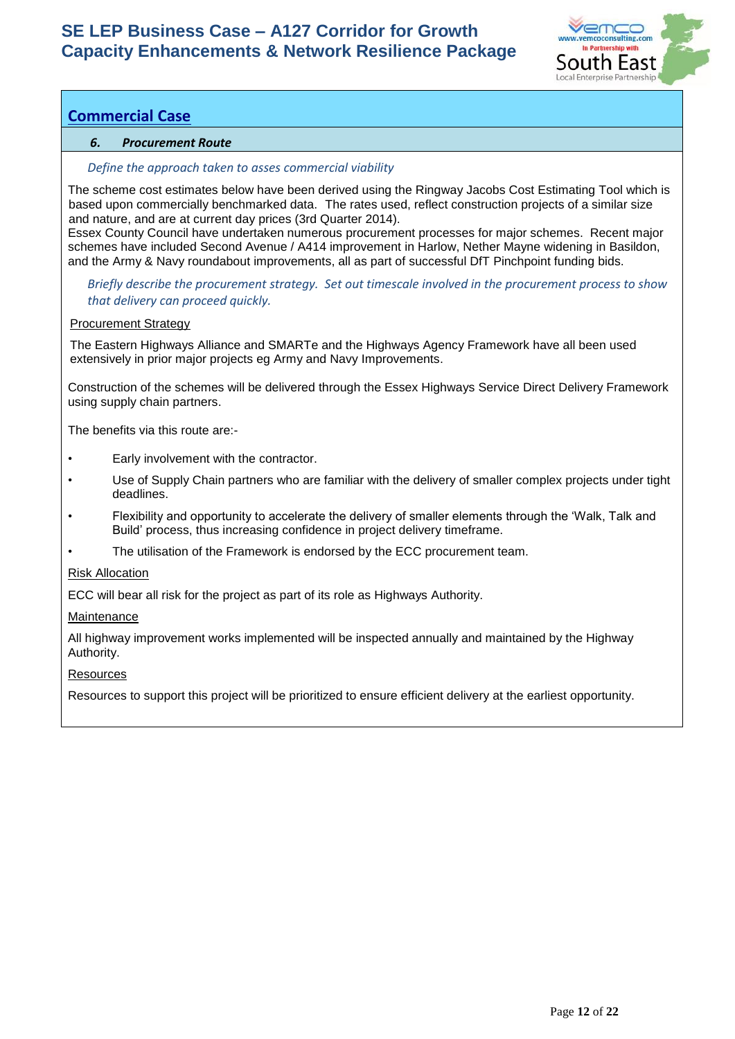

# **Commercial Case**

# *6. Procurement Route*

#### *Define the approach taken to asses commercial viability*

The scheme cost estimates below have been derived using the Ringway Jacobs Cost Estimating Tool which is based upon commercially benchmarked data. The rates used, reflect construction projects of a similar size and nature, and are at current day prices (3rd Quarter 2014).

Essex County Council have undertaken numerous procurement processes for major schemes. Recent major schemes have included Second Avenue / A414 improvement in Harlow, Nether Mayne widening in Basildon, and the Army & Navy roundabout improvements, all as part of successful DfT Pinchpoint funding bids.

*Briefly describe the procurement strategy. Set out timescale involved in the procurement process to show that delivery can proceed quickly.*

#### Procurement Strategy

The Eastern Highways Alliance and SMARTe and the Highways Agency Framework have all been used extensively in prior major projects eg Army and Navy Improvements.

Construction of the schemes will be delivered through the Essex Highways Service Direct Delivery Framework using supply chain partners.

The benefits via this route are:-

- Early involvement with the contractor.
- Use of Supply Chain partners who are familiar with the delivery of smaller complex projects under tight deadlines.
- Flexibility and opportunity to accelerate the delivery of smaller elements through the 'Walk, Talk and Build' process, thus increasing confidence in project delivery timeframe.
- The utilisation of the Framework is endorsed by the ECC procurement team.

#### Risk Allocation

ECC will bear all risk for the project as part of its role as Highways Authority.

#### Maintenance

All highway improvement works implemented will be inspected annually and maintained by the Highway Authority.

#### **Resources**

Resources to support this project will be prioritized to ensure efficient delivery at the earliest opportunity.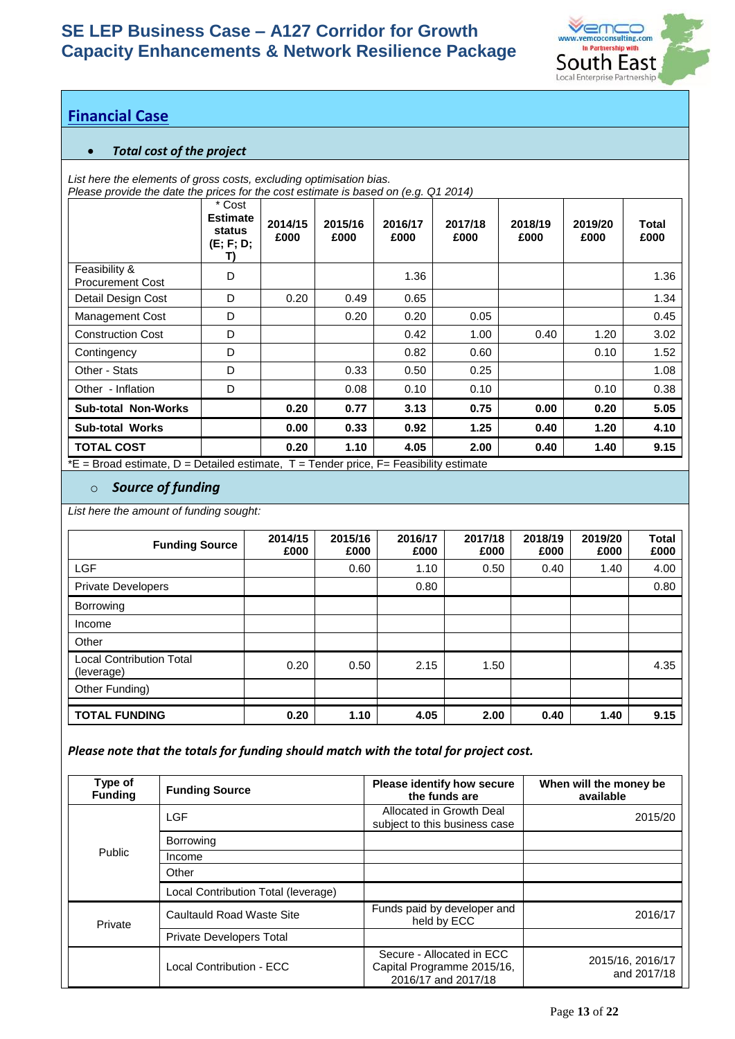

# **Financial Case**

# • *Total cost of the project*

*List here the elements of gross costs, excluding optimisation bias.*

*Please provide the date the prices for the cost estimate is based on (e.g. Q1 2014)*

|                                                                             | * Cost<br><b>Estimate</b><br>status<br>(E; F; D; | 2014/15<br>£000 | 2015/16<br>£000 | 2016/17<br>£000 | 2017/18<br>£000 | 2018/19<br>£000 | 2019/20<br>£000 | Total<br>£000 |
|-----------------------------------------------------------------------------|--------------------------------------------------|-----------------|-----------------|-----------------|-----------------|-----------------|-----------------|---------------|
| Feasibility &<br><b>Procurement Cost</b>                                    | D                                                |                 |                 | 1.36            |                 |                 |                 | 1.36          |
| Detail Design Cost                                                          | D                                                | 0.20            | 0.49            | 0.65            |                 |                 |                 | 1.34          |
| Management Cost                                                             | D                                                |                 | 0.20            | 0.20            | 0.05            |                 |                 | 0.45          |
| <b>Construction Cost</b>                                                    | D                                                |                 |                 | 0.42            | 1.00            | 0.40            | 1.20            | 3.02          |
| Contingency                                                                 | D                                                |                 |                 | 0.82            | 0.60            |                 | 0.10            | 1.52          |
| Other - Stats                                                               | D                                                |                 | 0.33            | 0.50            | 0.25            |                 |                 | 1.08          |
| Other - Inflation                                                           | D                                                |                 | 0.08            | 0.10            | 0.10            |                 | 0.10            | 0.38          |
| <b>Sub-total Non-Works</b>                                                  |                                                  | 0.20            | 0.77            | 3.13            | 0.75            | 0.00            | 0.20            | 5.05          |
| <b>Sub-total Works</b>                                                      |                                                  | 0.00            | 0.33            | 0.92            | 1.25            | 0.40            | 1.20            | 4.10          |
| <b>TOTAL COST</b><br>$ -$<br>$\mathbf{r}$ and $\mathbf{r}$ and $\mathbf{r}$ | .                                                | 0.20            | 1.10            | 4.05<br>.       | 2.00            | 0.40            | 1.40            | 9.15          |

 $E =$  Broad estimate, D = Detailed estimate, T = Tender price, F = Feasibility estimate

# o *Source of funding*

*List here the amount of funding sought:*

| <b>Funding Source</b>                         | 2014/15<br>£000 | 2015/16<br>£000 | 2016/17<br>£000 | 2017/18<br>£000 | 2018/19<br>£000 | 2019/20<br>£000 | <b>Total</b><br>£000 |
|-----------------------------------------------|-----------------|-----------------|-----------------|-----------------|-----------------|-----------------|----------------------|
| <b>LGF</b>                                    |                 | 0.60            | 1.10            | 0.50            | 0.40            | 1.40            | 4.00                 |
| <b>Private Developers</b>                     |                 |                 | 0.80            |                 |                 |                 | 0.80                 |
| Borrowing                                     |                 |                 |                 |                 |                 |                 |                      |
| Income                                        |                 |                 |                 |                 |                 |                 |                      |
| Other                                         |                 |                 |                 |                 |                 |                 |                      |
| <b>Local Contribution Total</b><br>(leverage) | 0.20            | 0.50            | 2.15            | 1.50            |                 |                 | 4.35                 |
| Other Funding)                                |                 |                 |                 |                 |                 |                 |                      |
| <b>TOTAL FUNDING</b>                          | 0.20            | 1.10            | 4.05            | 2.00            | 0.40            | 1.40            | 9.15                 |

# *Please note that the totals for funding should match with the total for project cost.*

| Type of<br><b>Funding</b> | <b>Funding Source</b>               | Please identify how secure<br>the funds are                                    | When will the money be<br>available |
|---------------------------|-------------------------------------|--------------------------------------------------------------------------------|-------------------------------------|
|                           | <b>LGF</b>                          | Allocated in Growth Deal<br>subject to this business case                      | 2015/20                             |
|                           | Borrowing                           |                                                                                |                                     |
| <b>Public</b>             | Income                              |                                                                                |                                     |
|                           | Other                               |                                                                                |                                     |
|                           | Local Contribution Total (leverage) |                                                                                |                                     |
| Private                   | Caultauld Road Waste Site           | Funds paid by developer and<br>held by ECC                                     | 2016/17                             |
|                           | Private Developers Total            |                                                                                |                                     |
|                           | Local Contribution - FCC            | Secure - Allocated in ECC<br>Capital Programme 2015/16,<br>2016/17 and 2017/18 | 2015/16, 2016/17<br>and 2017/18     |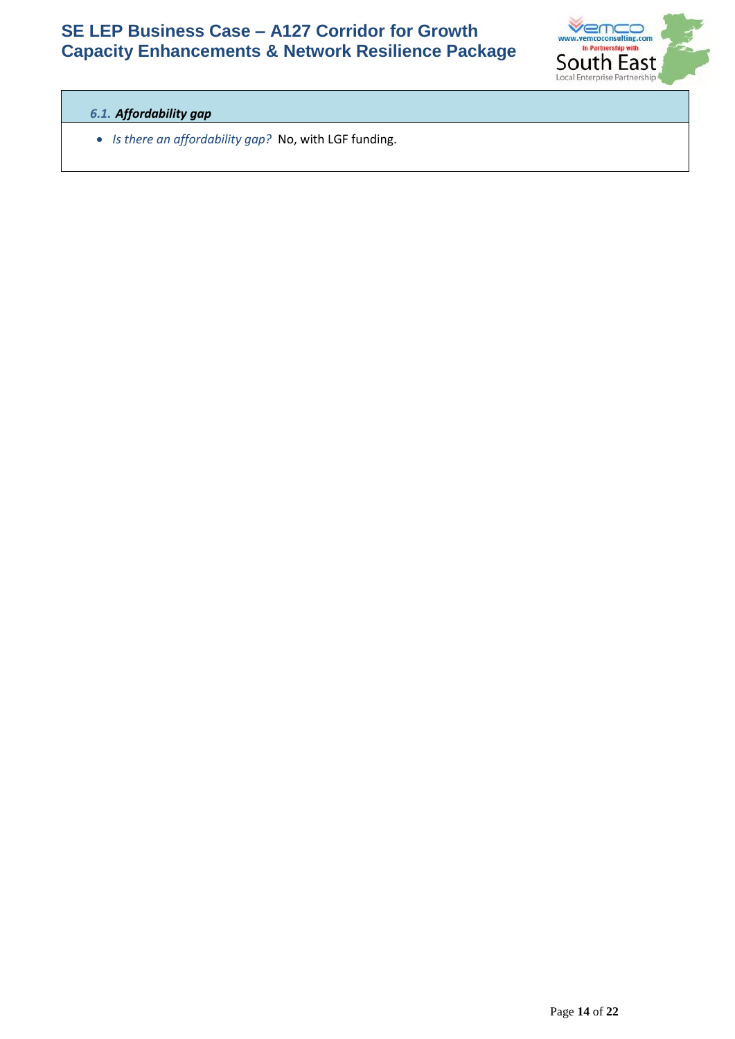

# *6.1. Affordability gap*

• *Is there an affordability gap?* No, with LGF funding.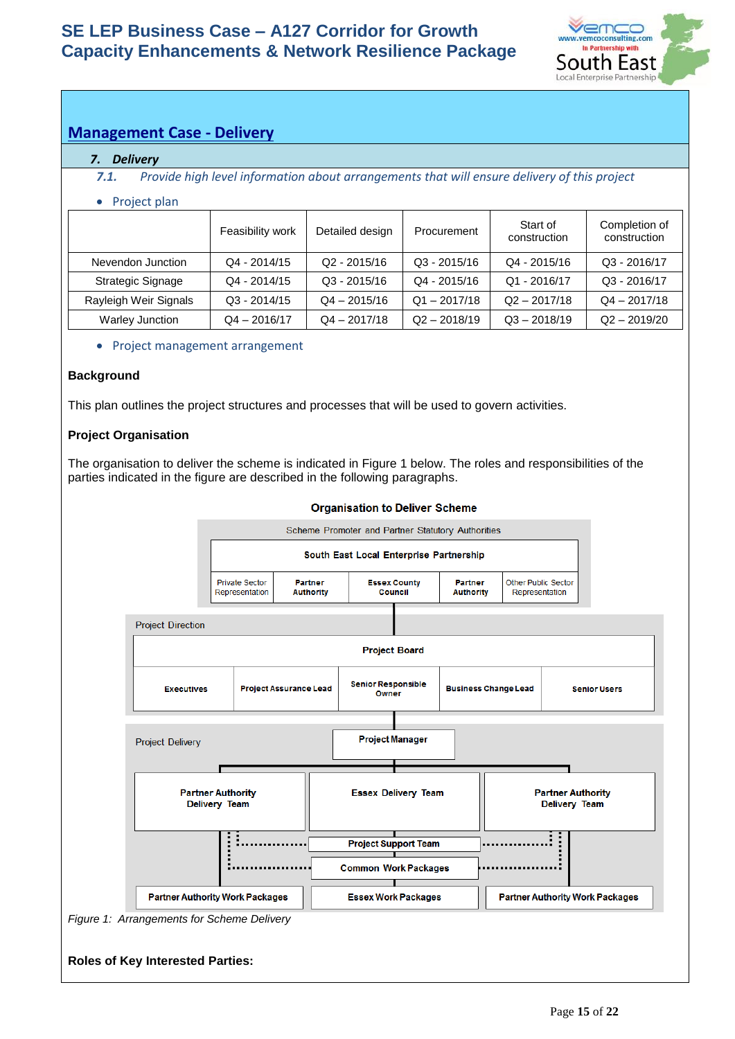

# **Management Case - Delivery**

## *7. Delivery*

*7.1. Provide high level information about arrangements that will ensure delivery of this project*

## • Project plan

|                       | Feasibility work | Detailed design | Procurement    | Start of<br>construction | Completion of<br>construction |
|-----------------------|------------------|-----------------|----------------|--------------------------|-------------------------------|
| Nevendon Junction     | $Q4 - 2014/15$   | $Q2 - 2015/16$  | $Q3 - 2015/16$ | $Q4 - 2015/16$           | Q3 - 2016/17                  |
| Strategic Signage     | $Q4 - 2014/15$   | $Q3 - 2015/16$  | Q4 - 2015/16   | $Q1 - 2016/17$           | Q3 - 2016/17                  |
| Rayleigh Weir Signals | $Q3 - 2014/15$   | $Q4 - 2015/16$  | $Q1 - 2017/18$ | $Q2 - 2017/18$           | $Q4 - 2017/18$                |
| Warley Junction       | $Q4 - 2016/17$   | $Q4 - 2017/18$  | $Q2 - 2018/19$ | $Q3 - 2018/19$           | $Q2 - 2019/20$                |

• Project management arrangement

# **Background**

This plan outlines the project structures and processes that will be used to govern activities.

## **Project Organisation**

The organisation to deliver the scheme is indicated in Figure 1 below. The roles and responsibilities of the parties indicated in the figure are described in the following paragraphs.

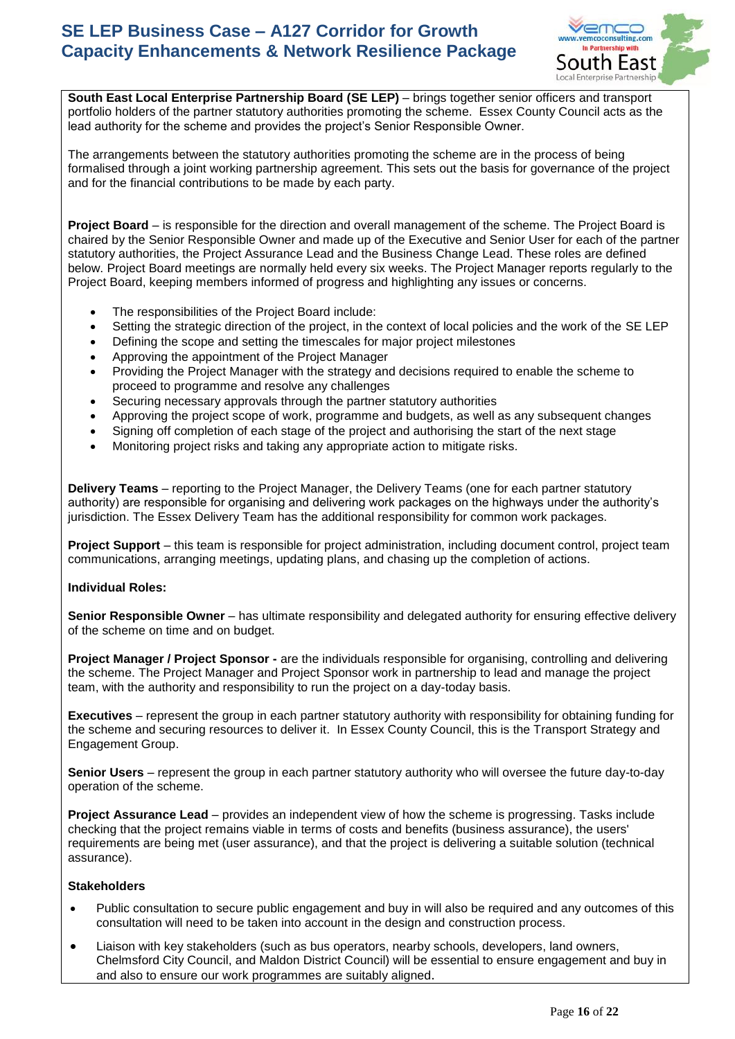

**South East Local Enterprise Partnership Board (SE LEP)** – brings together senior officers and transport portfolio holders of the partner statutory authorities promoting the scheme. Essex County Council acts as the lead authority for the scheme and provides the project's Senior Responsible Owner.

The arrangements between the statutory authorities promoting the scheme are in the process of being formalised through a joint working partnership agreement. This sets out the basis for governance of the project and for the financial contributions to be made by each party.

**Project Board** – is responsible for the direction and overall management of the scheme. The Project Board is chaired by the Senior Responsible Owner and made up of the Executive and Senior User for each of the partner statutory authorities, the Project Assurance Lead and the Business Change Lead. These roles are defined below. Project Board meetings are normally held every six weeks. The Project Manager reports regularly to the Project Board, keeping members informed of progress and highlighting any issues or concerns.

- The responsibilities of the Project Board include:
- Setting the strategic direction of the project, in the context of local policies and the work of the SE LEP
- Defining the scope and setting the timescales for major project milestones
- Approving the appointment of the Project Manager
- Providing the Project Manager with the strategy and decisions required to enable the scheme to proceed to programme and resolve any challenges
- Securing necessary approvals through the partner statutory authorities
- Approving the project scope of work, programme and budgets, as well as any subsequent changes
- Signing off completion of each stage of the project and authorising the start of the next stage
- Monitoring project risks and taking any appropriate action to mitigate risks.

**Delivery Teams** – reporting to the Project Manager, the Delivery Teams (one for each partner statutory authority) are responsible for organising and delivering work packages on the highways under the authority's jurisdiction. The Essex Delivery Team has the additional responsibility for common work packages.

**Project Support** – this team is responsible for project administration, including document control, project team communications, arranging meetings, updating plans, and chasing up the completion of actions.

## **Individual Roles:**

**Senior Responsible Owner** – has ultimate responsibility and delegated authority for ensuring effective delivery of the scheme on time and on budget.

**Project Manager / Project Sponsor -** are the individuals responsible for organising, controlling and delivering the scheme. The Project Manager and Project Sponsor work in partnership to lead and manage the project team, with the authority and responsibility to run the project on a day-today basis.

**Executives** – represent the group in each partner statutory authority with responsibility for obtaining funding for the scheme and securing resources to deliver it. In Essex County Council, this is the Transport Strategy and Engagement Group.

**Senior Users** – represent the group in each partner statutory authority who will oversee the future day-to-day operation of the scheme.

**Project Assurance Lead** – provides an independent view of how the scheme is progressing. Tasks include checking that the project remains viable in terms of costs and benefits (business assurance), the users' requirements are being met (user assurance), and that the project is delivering a suitable solution (technical assurance).

## **Stakeholders**

- Public consultation to secure public engagement and buy in will also be required and any outcomes of this consultation will need to be taken into account in the design and construction process.
- Liaison with key stakeholders (such as bus operators, nearby schools, developers, land owners, Chelmsford City Council, and Maldon District Council) will be essential to ensure engagement and buy in and also to ensure our work programmes are suitably aligned.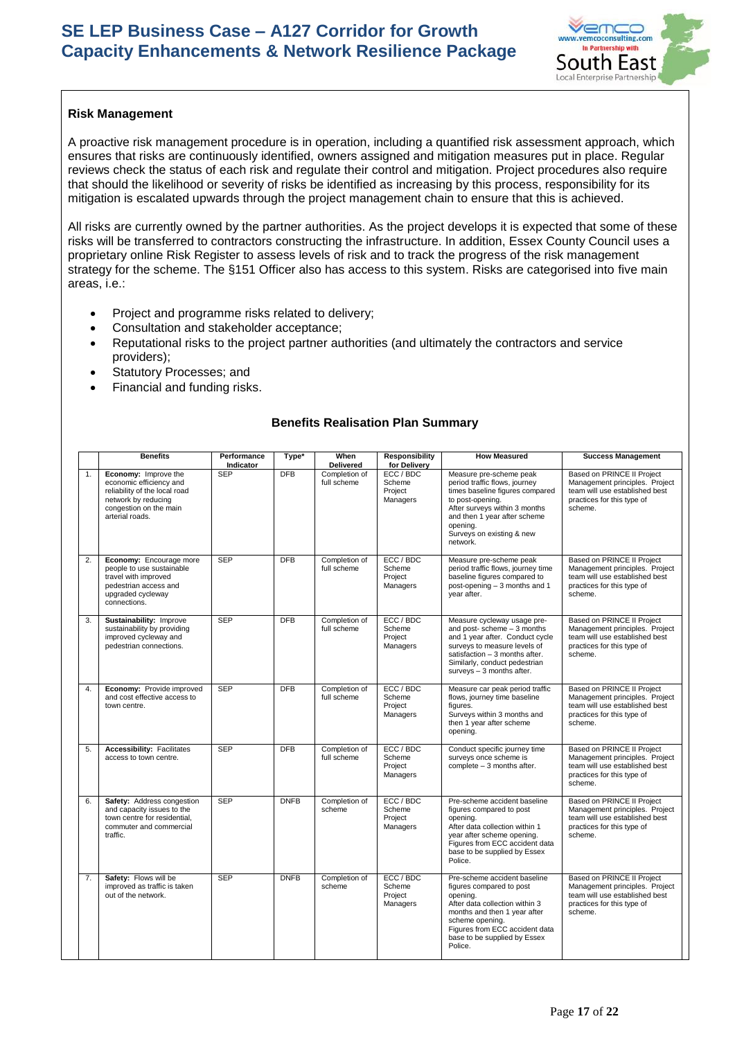

## **Risk Management**

A proactive risk management procedure is in operation, including a quantified risk assessment approach, which ensures that risks are continuously identified, owners assigned and mitigation measures put in place. Regular reviews check the status of each risk and regulate their control and mitigation. Project procedures also require that should the likelihood or severity of risks be identified as increasing by this process, responsibility for its mitigation is escalated upwards through the project management chain to ensure that this is achieved.

All risks are currently owned by the partner authorities. As the project develops it is expected that some of these risks will be transferred to contractors constructing the infrastructure. In addition, Essex County Council uses a proprietary online Risk Register to assess levels of risk and to track the progress of the risk management strategy for the scheme. The §151 Officer also has access to this system. Risks are categorised into five main areas, i.e.:

- Project and programme risks related to delivery;
- Consultation and stakeholder acceptance;
- Reputational risks to the project partner authorities (and ultimately the contractors and service providers);
- Statutory Processes; and
- Financial and funding risks.

# **Benefits Realisation Plan Summary**

|    | <b>Benefits</b>                                                                                                                                      | Performance<br><b>Indicator</b> | Type*       | When<br><b>Delivered</b>     | Responsibility<br>for Delivery             | <b>How Measured</b>                                                                                                                                                                                                                    | <b>Success Management</b>                                                                                                               |
|----|------------------------------------------------------------------------------------------------------------------------------------------------------|---------------------------------|-------------|------------------------------|--------------------------------------------|----------------------------------------------------------------------------------------------------------------------------------------------------------------------------------------------------------------------------------------|-----------------------------------------------------------------------------------------------------------------------------------------|
| 1. | Economy: Improve the<br>economic efficiency and<br>reliability of the local road<br>network by reducing<br>congestion on the main<br>arterial roads. | <b>SEP</b>                      | DFB         | Completion of<br>full scheme | ECC / BDC<br>Scheme<br>Project<br>Managers | Measure pre-scheme peak<br>period traffic flows, journey<br>times baseline figures compared<br>to post-opening.<br>After surveys within 3 months<br>and then 1 year after scheme<br>opening.<br>Surveys on existing & new<br>network.  | Based on PRINCE II Project<br>Management principles. Project<br>team will use established best<br>practices for this type of<br>scheme. |
| 2. | Economy: Encourage more<br>people to use sustainable<br>travel with improved<br>pedestrian access and<br>upgraded cycleway<br>connections.           | <b>SEP</b>                      | <b>DFB</b>  | Completion of<br>full scheme | ECC / BDC<br>Scheme<br>Proiect<br>Managers | Measure pre-scheme peak<br>period traffic flows, journey time<br>baseline figures compared to<br>post-opening - 3 months and 1<br>vear after.                                                                                          | Based on PRINCE II Project<br>Management principles. Project<br>team will use established best<br>practices for this type of<br>scheme. |
| 3. | Sustainability: Improve<br>sustainability by providing<br>improved cycleway and<br>pedestrian connections.                                           | <b>SEP</b>                      | <b>DFB</b>  | Completion of<br>full scheme | ECC / BDC<br>Scheme<br>Project<br>Managers | Measure cycleway usage pre-<br>and post-scheme $-3$ months<br>and 1 year after. Conduct cycle<br>surveys to measure levels of<br>satisfaction - 3 months after.<br>Similarly, conduct pedestrian<br>surveys - 3 months after.          | Based on PRINCE II Project<br>Management principles. Project<br>team will use established best<br>practices for this type of<br>scheme. |
| 4. | Economy: Provide improved<br>and cost effective access to<br>town centre.                                                                            | <b>SEP</b>                      | <b>DFB</b>  | Completion of<br>full scheme | ECC / BDC<br>Scheme<br>Project<br>Managers | Measure car peak period traffic<br>flows, journey time baseline<br>figures.<br>Surveys within 3 months and<br>then 1 year after scheme<br>opening.                                                                                     | Based on PRINCE II Project<br>Management principles. Project<br>team will use established best<br>practices for this type of<br>scheme. |
| 5. | <b>Accessibility: Facilitates</b><br>access to town centre.                                                                                          | <b>SEP</b>                      | <b>DFB</b>  | Completion of<br>full scheme | ECC / BDC<br>Scheme<br>Project<br>Managers | Conduct specific journey time<br>surveys once scheme is<br>complete $-3$ months after.                                                                                                                                                 | Based on PRINCE II Project<br>Management principles. Project<br>team will use established best<br>practices for this type of<br>scheme. |
| 6. | Safety: Address congestion<br>and capacity issues to the<br>town centre for residential,<br>commuter and commercial<br>traffic.                      | <b>SEP</b>                      | <b>DNFB</b> | Completion of<br>scheme      | ECC / BDC<br>Scheme<br>Project<br>Managers | Pre-scheme accident baseline<br>figures compared to post<br>opening.<br>After data collection within 1<br>year after scheme opening.<br>Figures from ECC accident data<br>base to be supplied by Essex<br>Police.                      | Based on PRINCE II Project<br>Management principles. Project<br>team will use established best<br>practices for this type of<br>scheme. |
| 7. | Safety: Flows will be<br>improved as traffic is taken<br>out of the network.                                                                         | <b>SEP</b>                      | <b>DNFB</b> | Completion of<br>scheme      | ECC / BDC<br>Scheme<br>Project<br>Managers | Pre-scheme accident baseline<br>figures compared to post<br>opening.<br>After data collection within 3<br>months and then 1 year after<br>scheme opening.<br>Figures from ECC accident data<br>base to be supplied by Essex<br>Police. | Based on PRINCE II Project<br>Management principles. Project<br>team will use established best<br>practices for this type of<br>scheme. |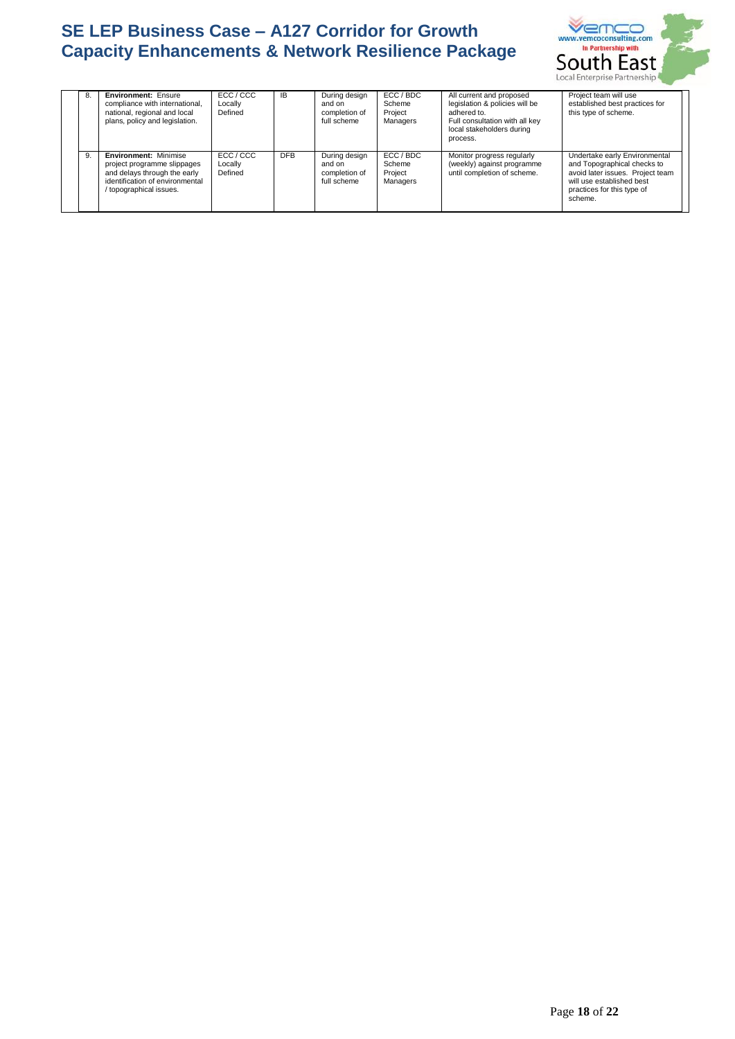

| 8. | <b>Environment: Ensure</b><br>compliance with international,<br>national, regional and local<br>plans, policy and legislation.                          | ECC / CCC<br>Locally<br>Defined | <b>IB</b>  | During design<br>and on<br>completion of<br>full scheme | ECC / BDC<br>Scheme<br>Project<br>Managers | All current and proposed<br>legislation & policies will be<br>adhered to.<br>Full consultation with all key<br>local stakeholders during<br>process. | Project team will use<br>established best practices for<br>this type of scheme.                                                                                        |
|----|---------------------------------------------------------------------------------------------------------------------------------------------------------|---------------------------------|------------|---------------------------------------------------------|--------------------------------------------|------------------------------------------------------------------------------------------------------------------------------------------------------|------------------------------------------------------------------------------------------------------------------------------------------------------------------------|
| 9. | <b>Environment: Minimise</b><br>project programme slippages<br>and delays through the early<br>identification of environmental<br>topographical issues. | ECC / CCC<br>Locally<br>Defined | <b>DFB</b> | During design<br>and on<br>completion of<br>full scheme | ECC / BDC<br>Scheme<br>Project<br>Managers | Monitor progress regularly<br>(weekly) against programme<br>until completion of scheme.                                                              | Undertake early Environmental<br>and Topographical checks to<br>avoid later issues. Project team<br>will use established best<br>practices for this type of<br>scheme. |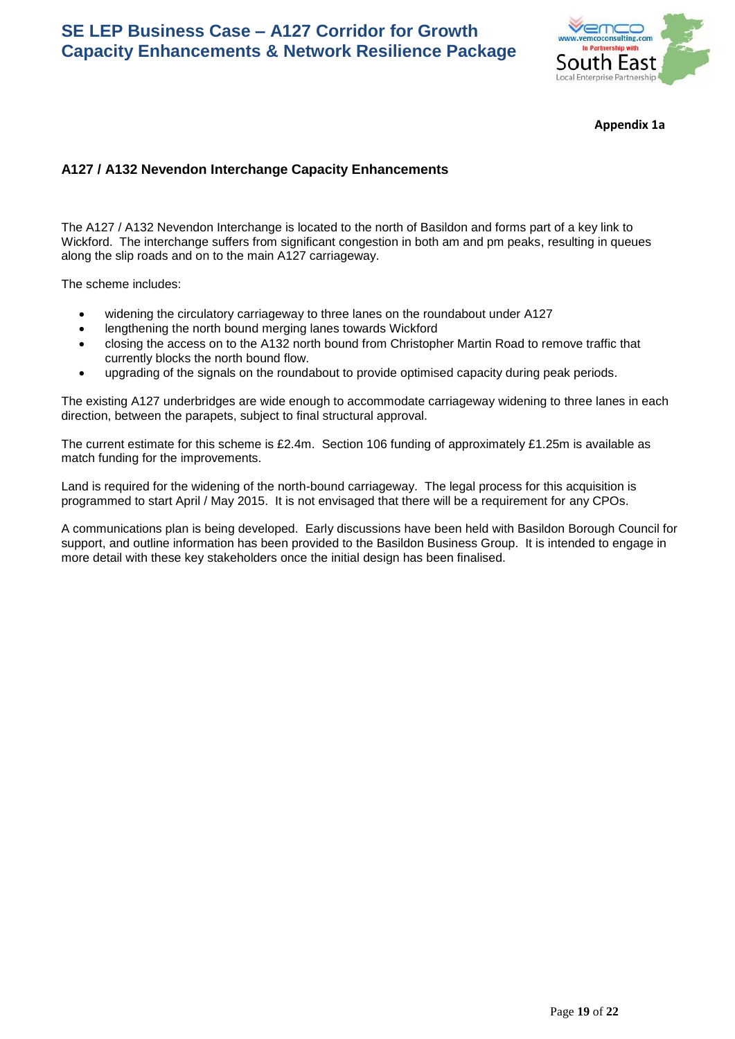

**Appendix 1a**

## **A127 / A132 Nevendon Interchange Capacity Enhancements**

The A127 / A132 Nevendon Interchange is located to the north of Basildon and forms part of a key link to Wickford. The interchange suffers from significant congestion in both am and pm peaks, resulting in queues along the slip roads and on to the main A127 carriageway.

The scheme includes:

- widening the circulatory carriageway to three lanes on the roundabout under A127
- lengthening the north bound merging lanes towards Wickford
- closing the access on to the A132 north bound from Christopher Martin Road to remove traffic that currently blocks the north bound flow.
- upgrading of the signals on the roundabout to provide optimised capacity during peak periods.

The existing A127 underbridges are wide enough to accommodate carriageway widening to three lanes in each direction, between the parapets, subject to final structural approval.

The current estimate for this scheme is £2.4m. Section 106 funding of approximately £1.25m is available as match funding for the improvements.

Land is required for the widening of the north-bound carriageway. The legal process for this acquisition is programmed to start April / May 2015. It is not envisaged that there will be a requirement for any CPOs.

A communications plan is being developed. Early discussions have been held with Basildon Borough Council for support, and outline information has been provided to the Basildon Business Group. It is intended to engage in more detail with these key stakeholders once the initial design has been finalised.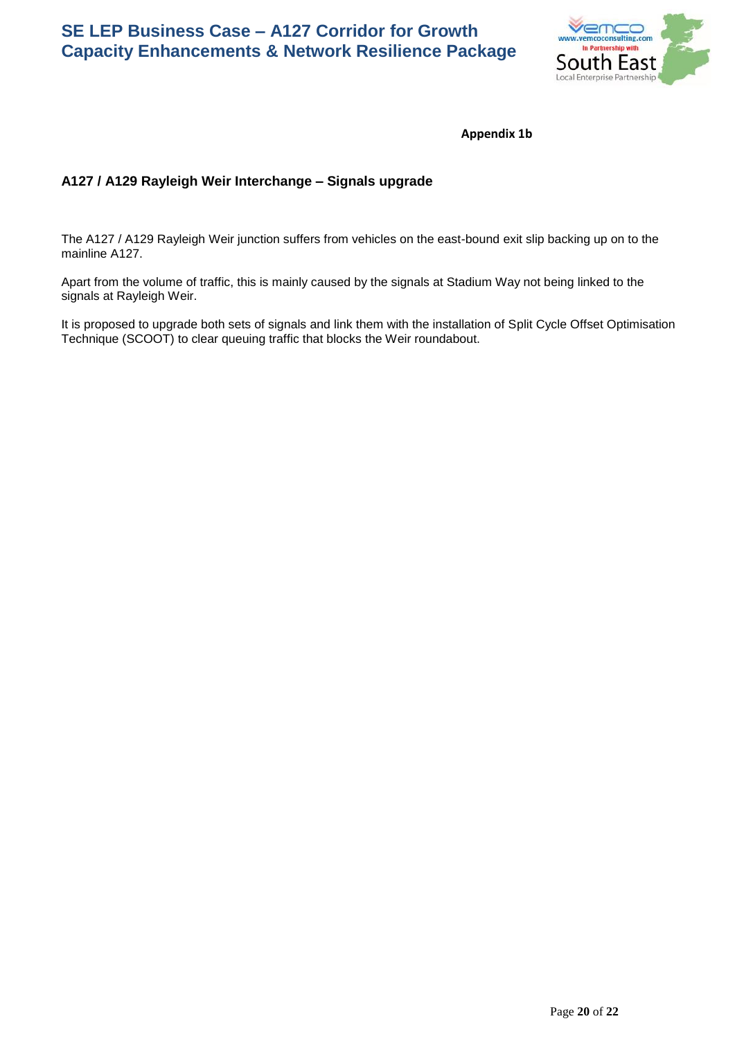

**Appendix 1b**

# **A127 / A129 Rayleigh Weir Interchange – Signals upgrade**

The A127 / A129 Rayleigh Weir junction suffers from vehicles on the east-bound exit slip backing up on to the mainline A127.

Apart from the volume of traffic, this is mainly caused by the signals at Stadium Way not being linked to the signals at Rayleigh Weir.

It is proposed to upgrade both sets of signals and link them with the installation of Split Cycle Offset Optimisation Technique (SCOOT) to clear queuing traffic that blocks the Weir roundabout.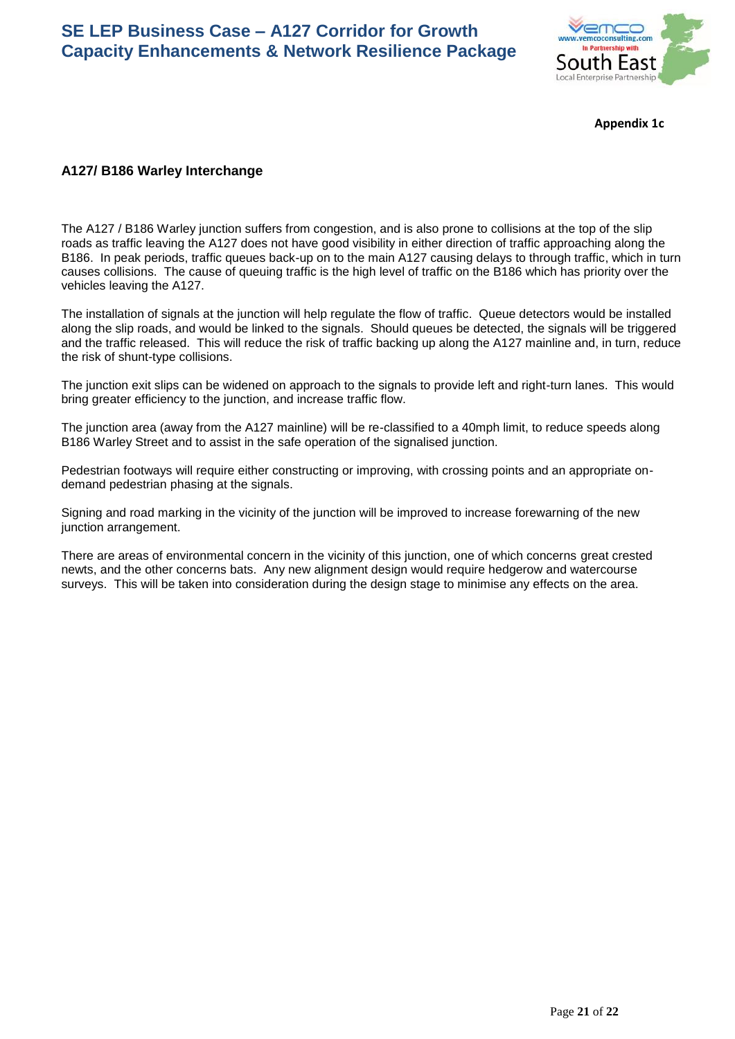

**Appendix 1c**

## **A127/ B186 Warley Interchange**

The A127 / B186 Warley junction suffers from congestion, and is also prone to collisions at the top of the slip roads as traffic leaving the A127 does not have good visibility in either direction of traffic approaching along the B186. In peak periods, traffic queues back-up on to the main A127 causing delays to through traffic, which in turn causes collisions. The cause of queuing traffic is the high level of traffic on the B186 which has priority over the vehicles leaving the A127.

The installation of signals at the junction will help regulate the flow of traffic. Queue detectors would be installed along the slip roads, and would be linked to the signals. Should queues be detected, the signals will be triggered and the traffic released. This will reduce the risk of traffic backing up along the A127 mainline and, in turn, reduce the risk of shunt-type collisions.

The junction exit slips can be widened on approach to the signals to provide left and right-turn lanes. This would bring greater efficiency to the junction, and increase traffic flow.

The junction area (away from the A127 mainline) will be re-classified to a 40mph limit, to reduce speeds along B186 Warley Street and to assist in the safe operation of the signalised junction.

Pedestrian footways will require either constructing or improving, with crossing points and an appropriate ondemand pedestrian phasing at the signals.

Signing and road marking in the vicinity of the junction will be improved to increase forewarning of the new junction arrangement.

There are areas of environmental concern in the vicinity of this junction, one of which concerns great crested newts, and the other concerns bats. Any new alignment design would require hedgerow and watercourse surveys. This will be taken into consideration during the design stage to minimise any effects on the area.